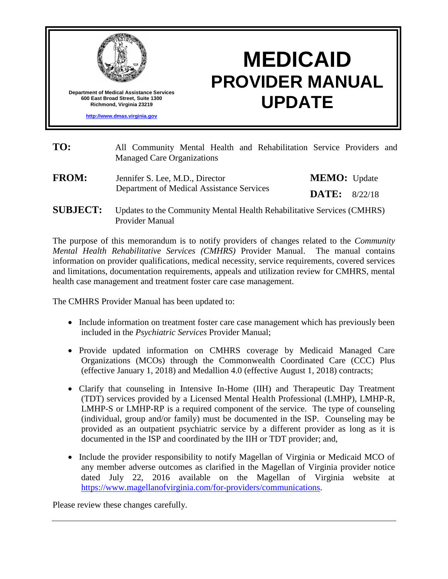

# **MEDICAID PROVIDER MANUAL UPDATE**

| TO:             | All Community Mental Health and Rehabilitation Service Providers and<br><b>Managed Care Organizations</b> |                     |         |  |
|-----------------|-----------------------------------------------------------------------------------------------------------|---------------------|---------|--|
| <b>FROM:</b>    | Jennifer S. Lee, M.D., Director                                                                           | <b>MEMO:</b> Update |         |  |
|                 | Department of Medical Assistance Services                                                                 | DATE:               | 8/22/18 |  |
| <b>SUBJECT:</b> | Updates to the Community Mental Health Rehabilitative Services (CMHRS)<br><b>Provider Manual</b>          |                     |         |  |

The purpose of this memorandum is to notify providers of changes related to the *Community Mental Health Rehabilitative Services (CMHRS)* Provider Manual. The manual contains information on provider qualifications, medical necessity, service requirements, covered services and limitations, documentation requirements, appeals and utilization review for CMHRS, mental health case management and treatment foster care case management.

The CMHRS Provider Manual has been updated to:

- Include information on treatment foster care case management which has previously been included in the *Psychiatric Services* Provider Manual;
- Provide updated information on CMHRS coverage by Medicaid Managed Care Organizations (MCOs) through the Commonwealth Coordinated Care (CCC) Plus (effective January 1, 2018) and Medallion 4.0 (effective August 1, 2018) contracts;
- Clarify that counseling in Intensive In-Home (IIH) and Therapeutic Day Treatment (TDT) services provided by a Licensed Mental Health Professional (LMHP), LMHP-R, LMHP-S or LMHP-RP is a required component of the service. The type of counseling (individual, group and/or family) must be documented in the ISP. Counseling may be provided as an outpatient psychiatric service by a different provider as long as it is documented in the ISP and coordinated by the IIH or TDT provider; and,
- Include the provider responsibility to notify Magellan of Virginia or Medicaid MCO of any member adverse outcomes as clarified in the Magellan of Virginia provider notice dated July 22, 2016 available on the Magellan of Virginia website at [https://www.magellanofvirginia.com/for-providers/communications.](https://www.magellanofvirginia.com/for-providers/communications)

Please review these changes carefully.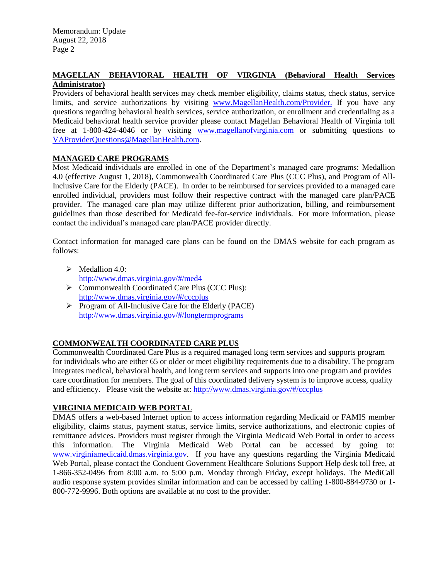#### **MAGELLAN BEHAVIORAL HEALTH OF VIRGINIA (Behavioral Health Services Administrator)**

Providers of behavioral health services may check member eligibility, claims status, check status, service limits, and service authorizations by visiting [www.MagellanHealth.com/Provider.](https://www.magellanprovider.com/MagellanProvider/do/LoadHome) If you have any questions regarding behavioral health services, service authorization, or enrollment and credentialing as a Medicaid behavioral health service provider please contact Magellan Behavioral Health of Virginia toll free at 1-800-424-4046 or by visiting [www.magellanofvirginia.com](https://www.magellanofvirginia.com/) or submitting questions to [VAProviderQuestions@MagellanHealth.com.](file:///C:/Users/vmh49622/AppData/Local/Microsoft/Windows/Temporary%20Internet%20Files/Content.Outlook/37DLTVL7/VAProviderQuestions@MagellanHealth.com)

## **MANAGED CARE PROGRAMS**

Most Medicaid individuals are enrolled in one of the Department's managed care programs: Medallion 4.0 (effective August 1, 2018), Commonwealth Coordinated Care Plus (CCC Plus), and Program of All-Inclusive Care for the Elderly (PACE). In order to be reimbursed for services provided to a managed care enrolled individual, providers must follow their respective contract with the managed care plan/PACE provider. The managed care plan may utilize different prior authorization, billing, and reimbursement guidelines than those described for Medicaid fee-for-service individuals. For more information, please contact the individual's managed care plan/PACE provider directly.

Contact information for managed care plans can be found on the DMAS website for each program as follows:

- $\triangleright$  Medallion 4.0: <http://www.dmas.virginia.gov/#/med4>
- ▶ Commonwealth Coordinated Care Plus (CCC Plus): <http://www.dmas.virginia.gov/#/cccplus>
- $\triangleright$  Program of All-Inclusive Care for the Elderly (PACE) <http://www.dmas.virginia.gov/#/longtermprograms>

## **COMMONWEALTH COORDINATED CARE PLUS**

Commonwealth Coordinated Care Plus is a required managed long term services and supports program for individuals who are either 65 or older or meet eligibility requirements due to a disability. The program integrates medical, behavioral health, and long term services and supports into one program and provides care coordination for members. The goal of this coordinated delivery system is to improve access, quality and efficiency. Please visit the website at:<http://www.dmas.virginia.gov/#/cccplus>

## **VIRGINIA MEDICAID WEB PORTAL**

DMAS offers a web-based Internet option to access information regarding Medicaid or FAMIS member eligibility, claims status, payment status, service limits, service authorizations, and electronic copies of remittance advices. Providers must register through the Virginia Medicaid Web Portal in order to access this information. The Virginia Medicaid Web Portal can be accessed by going to: [www.virginiamedicaid.dmas.virginia.gov.](http://www.virginiamedicaid.dmas.virginia.gov/) If you have any questions regarding the Virginia Medicaid Web Portal, please contact the Conduent Government Healthcare Solutions Support Help desk toll free, at 1-866-352-0496 from 8:00 a.m. to 5:00 p.m. Monday through Friday, except holidays. The MediCall audio response system provides similar information and can be accessed by calling 1-800-884-9730 or 1- 800-772-9996. Both options are available at no cost to the provider.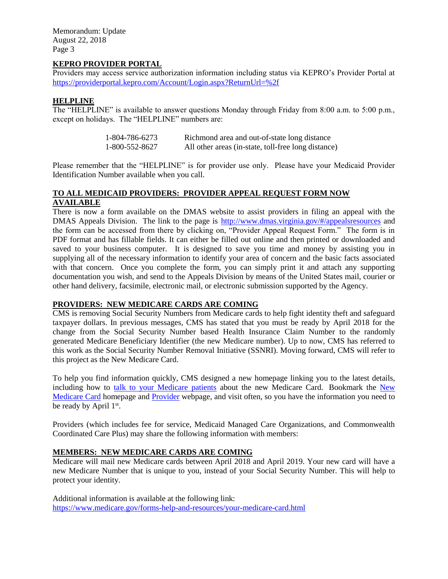Memorandum: Update August 22, 2018 Page 3

#### **KEPRO PROVIDER PORTAL**

Providers may access service authorization information including status via KEPRO's Provider Portal at <https://providerportal.kepro.com/Account/Login.aspx?ReturnUrl=%2f>

#### **HELPLINE**

The "HELPLINE" is available to answer questions Monday through Friday from 8:00 a.m. to 5:00 p.m., except on holidays. The "HELPLINE" numbers are:

| 1-804-786-6273 | Richmond area and out-of-state long distance        |
|----------------|-----------------------------------------------------|
| 1-800-552-8627 | All other areas (in-state, toll-free long distance) |

Please remember that the "HELPLINE" is for provider use only. Please have your Medicaid Provider Identification Number available when you call.

#### **TO ALL MEDICAID PROVIDERS: PROVIDER APPEAL REQUEST FORM NOW AVAILABLE**

There is now a form available on the DMAS website to assist providers in filing an appeal with the DMAS Appeals Division. The link to the page is <http://www.dmas.virginia.gov/#/appealsresources> and the form can be accessed from there by clicking on, "Provider Appeal Request Form." The form is in PDF format and has fillable fields. It can either be filled out online and then printed or downloaded and saved to your business computer. It is designed to save you time and money by assisting you in supplying all of the necessary information to identify your area of concern and the basic facts associated with that concern. Once you complete the form, you can simply print it and attach any supporting documentation you wish, and send to the Appeals Division by means of the United States mail, courier or other hand delivery, facsimile, electronic mail, or electronic submission supported by the Agency.

#### **PROVIDERS: NEW MEDICARE CARDS ARE COMING**

CMS is removing Social Security Numbers from Medicare cards to help fight identity theft and safeguard taxpayer dollars. In previous messages, CMS has stated that you must be ready by April 2018 for the change from the Social Security Number based Health Insurance Claim Number to the randomly generated Medicare Beneficiary Identifier (the new Medicare number). Up to now, CMS has referred to this work as the Social Security Number Removal Initiative (SSNRI). Moving forward, CMS will refer to this project as the New Medicare Card.

To help you find information quickly, CMS designed a new homepage linking you to the latest details, including how to talk to [your Medicare patients](https://www.cms.gov/Medicare/New-Medicare-Card/New-Medicare-Card-Messaging-Guidelines-July-2017.pdf) about the new Medicare Card. Bookmark the [New](https://www.cms.gov/medicare/new-medicare-card/nmc-home.html)  [Medicare Card](https://www.cms.gov/medicare/new-medicare-card/nmc-home.html) homepage and [Provider](https://www.cms.gov/Medicare/New-Medicare-Card/Providers/Providers.html) webpage, and visit often, so you have the information you need to be ready by April 1st.

Providers (which includes fee for service, Medicaid Managed Care Organizations, and Commonwealth Coordinated Care Plus) may share the following information with members:

## **MEMBERS: NEW MEDICARE CARDS ARE COMING**

Medicare will mail new Medicare cards between April 2018 and April 2019. Your new card will have a new Medicare Number that is unique to you, instead of your Social Security Number. This will help to protect your identity.

Additional information is available at the following link: <https://www.medicare.gov/forms-help-and-resources/your-medicare-card.html>